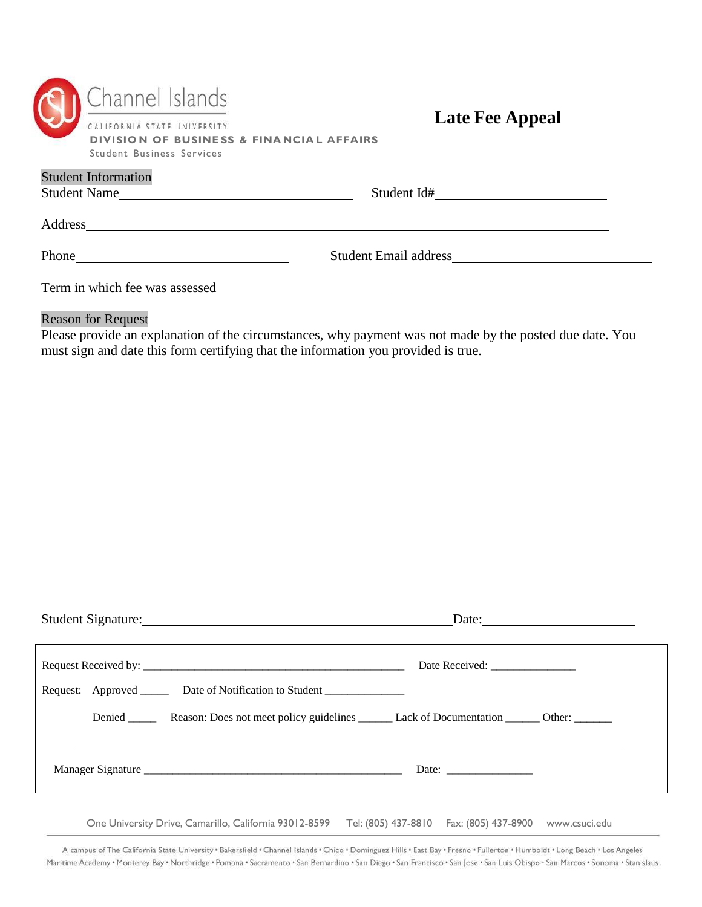| Channel Islands                                                                    |  |
|------------------------------------------------------------------------------------|--|
| CALIFORNIA STATE UNIVERSITY<br><b>DIVISION OF BUSINESS &amp; FINANCIAL AFFAIRS</b> |  |
| Student Business Services                                                          |  |

## **Late Fee Appeal**

| <b>Student Information</b><br>Student Name | Student Id#                                                                                                                                                                                                                    |  |
|--------------------------------------------|--------------------------------------------------------------------------------------------------------------------------------------------------------------------------------------------------------------------------------|--|
| Address                                    |                                                                                                                                                                                                                                |  |
| Phone                                      | Student Email address and the student Email address and the students of the students of the students of the students of the students of the students of the students of the students of the students of the students of the st |  |
| Term in which fee was assessed             |                                                                                                                                                                                                                                |  |

## Reason for Request

Please provide an explanation of the circumstances, why payment was not made by the posted due date. You must sign and date this form certifying that the information you provided is true.

| Student Signature:<br>Date:                                                                                         |
|---------------------------------------------------------------------------------------------------------------------|
| Date Received: ________________<br>Request: Approved _______ Date of Notification to Student ______________________ |
| Denied Reason: Does not meet policy guidelines Lack of Documentation Cher.                                          |
|                                                                                                                     |
|                                                                                                                     |

One University Drive, Camarillo, California 93012-8599 Tel: (805) 437-8810 Fax: (805) 437-8900 [www.csuci.edu](http://www.csuci.edu/)

A campus of The California State University . Bakersfield . Channel Islands . Chico . Dominguez Hills . East Bay . Fresno . Fullerton . Humboldt . Long Beach . Los Angeles Maritime Academy • Monterey Bay • Northridge • Pomona • Sacramento • San Bernardino • San Diego • San Francisco • San Jose • San Luis Obispo • San Marcos • Sonoma • Stanislaus